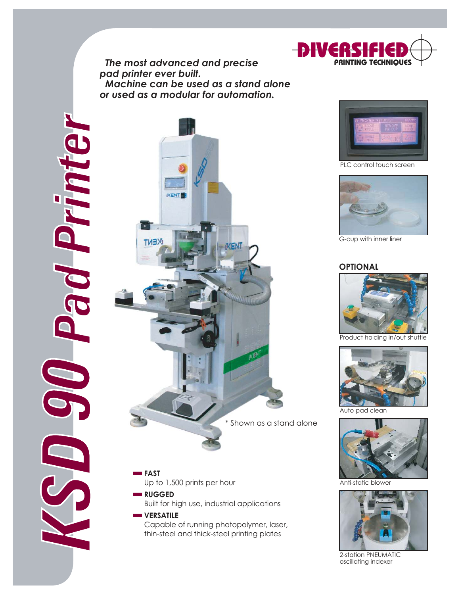*The most advanced and precise pad printer ever built. Machine can be used as a stand alone or used as a modular for automation.*

KSD 90 Pad Printer Prin  $\blacksquare$ CO O



- **FAST** Up to 1,500 prints per hour
- **RUGGED** Built for high use, industrial applications

#### **WERSATILE** Capable of running photopolymer, laser, thin-steel and thick-steel printing plates



PLC control touch screen



G-cup with inner liner

#### **OPTIONAL**



Product holding in/out shuttle



Auto pad clean



Anti-static blowe



2-station PNEUMATIC oscillating indexer